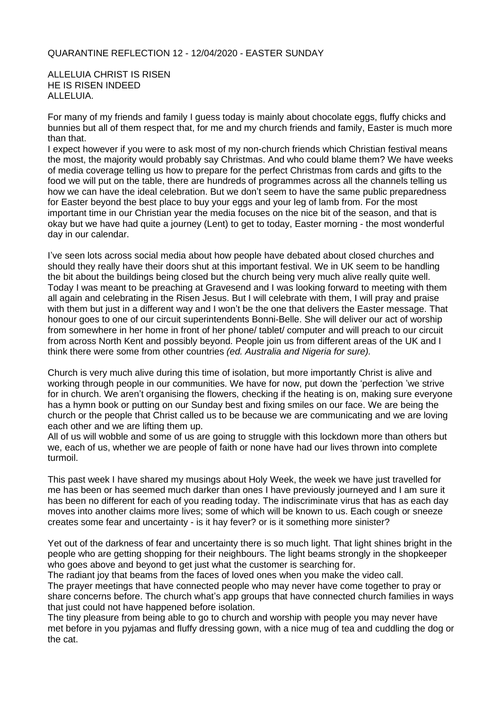## QUARANTINE REFLECTION 12 - 12/04/2020 - EASTER SUNDAY

ALLELUIA CHRIST IS RISEN HE IS RISEN INDEED ALLELUIA.

For many of my friends and family I guess today is mainly about chocolate eggs, fluffy chicks and bunnies but all of them respect that, for me and my church friends and family, Easter is much more than that.

I expect however if you were to ask most of my non-church friends which Christian festival means the most, the majority would probably say Christmas. And who could blame them? We have weeks of media coverage telling us how to prepare for the perfect Christmas from cards and gifts to the food we will put on the table, there are hundreds of programmes across all the channels telling us how we can have the ideal celebration. But we don't seem to have the same public preparedness for Easter beyond the best place to buy your eggs and your leg of lamb from. For the most important time in our Christian year the media focuses on the nice bit of the season, and that is okay but we have had quite a journey (Lent) to get to today, Easter morning - the most wonderful day in our calendar.

I've seen lots across social media about how people have debated about closed churches and should they really have their doors shut at this important festival. We in UK seem to be handling the bit about the buildings being closed but the church being very much alive really quite well. Today I was meant to be preaching at Gravesend and I was looking forward to meeting with them all again and celebrating in the Risen Jesus. But I will celebrate with them, I will pray and praise with them but just in a different way and I won't be the one that delivers the Easter message. That honour goes to one of our circuit superintendents Bonni-Belle. She will deliver our act of worship from somewhere in her home in front of her phone/ tablet/ computer and will preach to our circuit from across North Kent and possibly beyond. People join us from different areas of the UK and I think there were some from other countries *(ed. Australia and Nigeria for sure).*

Church is very much alive during this time of isolation, but more importantly Christ is alive and working through people in our communities. We have for now, put down the 'perfection 'we strive for in church. We aren't organising the flowers, checking if the heating is on, making sure everyone has a hymn book or putting on our Sunday best and fixing smiles on our face. We are being the church or the people that Christ called us to be because we are communicating and we are loving each other and we are lifting them up.

All of us will wobble and some of us are going to struggle with this lockdown more than others but we, each of us, whether we are people of faith or none have had our lives thrown into complete turmoil.

This past week I have shared my musings about Holy Week, the week we have just travelled for me has been or has seemed much darker than ones I have previously journeyed and I am sure it has been no different for each of you reading today. The indiscriminate virus that has as each day moves into another claims more lives; some of which will be known to us. Each cough or sneeze creates some fear and uncertainty - is it hay fever? or is it something more sinister?

Yet out of the darkness of fear and uncertainty there is so much light. That light shines bright in the people who are getting shopping for their neighbours. The light beams strongly in the shopkeeper who goes above and beyond to get just what the customer is searching for.

The radiant joy that beams from the faces of loved ones when you make the video call. The prayer meetings that have connected people who may never have come together to pray or share concerns before. The church what's app groups that have connected church families in ways that just could not have happened before isolation.

The tiny pleasure from being able to go to church and worship with people you may never have met before in you pyjamas and fluffy dressing gown, with a nice mug of tea and cuddling the dog or the cat.